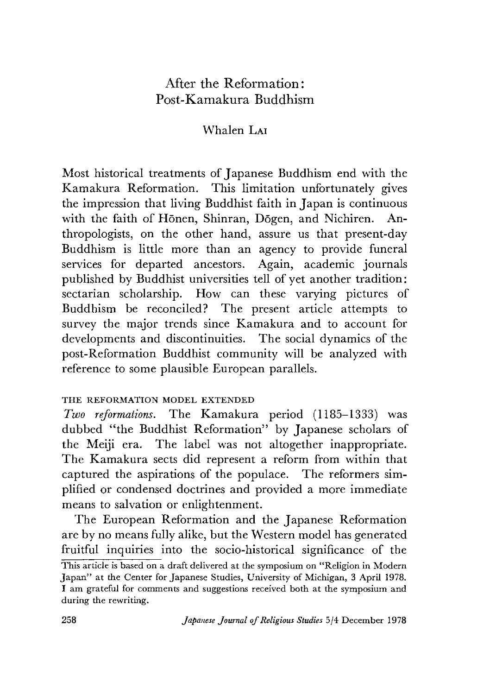# After the Reformation: Post-Kamakura Buddhism

# Whalen LAI

Most historical treatments of Japanese Buddhism end with the Kamakura Reformation. This limitation unfortunately gives the impression that living Buddhist faith in Japan is continuous with the faith of Hōnen, Shinran, Dōgen, and Nichiren. Anthropologists, on the other hand, assure us that present-day Buddhism is little more than an agency to provide funeral services for departed ancestors. Again, academic journals published by Buddhist universities tell of yet another tradition: sectarian scholarship. How can these varying pictures of Buddhism be reconciled? The present article attempts to survey the major trends since Kamakura and to account for developments and discontinuities. The social dynamics of the post-Reformation Buddhist community will be analyzed with reference to some plausible European parallels.

## THE REFORMATION MODEL EXTENDED

*Two reformations.* The Kamakura period (1185-1333) was dubbed "the Buddhist Reformation" by Japanese scholars of the Meiji era. The label was not altogether inappropriate. The Kamakura sects did represent a reform from within that captured the aspirations of the populace. The reformers simplified or condensed doctrines and provided a more immediate means to salvation or enlightenment.

The European Reformation and the Japanese Reformation are by no means fully alike, but the Western model has generated fruitful inquiries into the socio-historical significance of the This article is based on a draft delivered at the symposium on "Religion in Modern" Japan" at the Center for Japanese Studies, University of Michigan, 3 April 1978. I am grateful for comments and suggestions received both at the symposium and during the rewriting.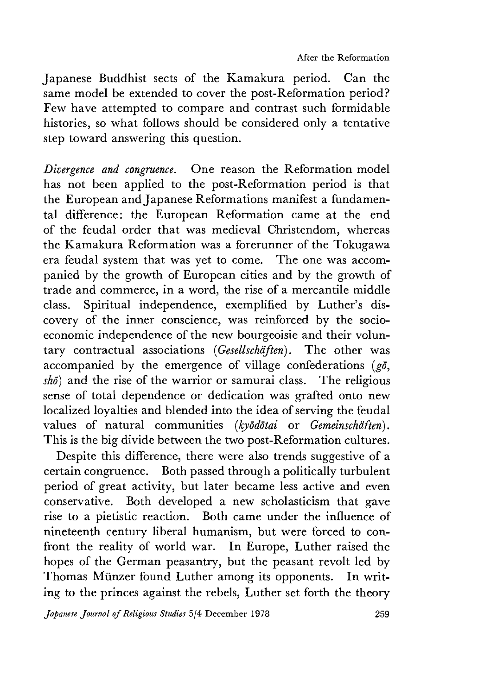Japanese Buddhist sects of the Kamakura period. Can the same model be extended to cover the post-Reformation period? Few have attempted to compare and contrast such formidable histories, so what follows should be considered only a tentative step toward answering this question.

*Divergence and congruence.* One reason the Reformation model has not been applied to the post-Reformation period is that the European and Japanese Reformations manifest a fundamental difference: the European Reformation came at the end of the feudal order that was medieval Christendom, whereas the Kamakura Reformation was a forerunner of the Tokugawa era feudal system that was yet to come. The one was accompanied by the growth of European cities and by the growth of trade and commerce, in a word, the rise of a mercantile middle class. Spiritual independence, exemplified by Luther's discovery of the inner conscience, was reinforced by the socioeconomic independence of the new bourgeoisie and their voluntary contractual associations *{Gesellschaften)*. The other was accompanied by the emergence of village confederations *(go,*  $sh\bar{\theta}$  and the rise of the warrior or samurai class. The religious sense of total dependence or dedication was grafted onto new localized loyalties and blended into the idea of serving the feudal values of natural communities *{kyodotai* or *Gemeinschdften*). This is the big divide between the two post-Reformation cultures.

Despite this difference, there were also trends suggestive of a certain congruence. Both passed through a politically turbulent period of great activity, but later became less active and even conservative. Both developed a new scholasticism that gave rise to a pietistic reaction. Both came under the influence of nineteenth century liberal humanism, but were forced to confront the reality of world war. In Europe, Luther raised the hopes of the German peasantry, but the peasant revolt led by Thomas Miinzer found Luther among its opponents. In writing to the princes against the rebels, Luther set forth the theory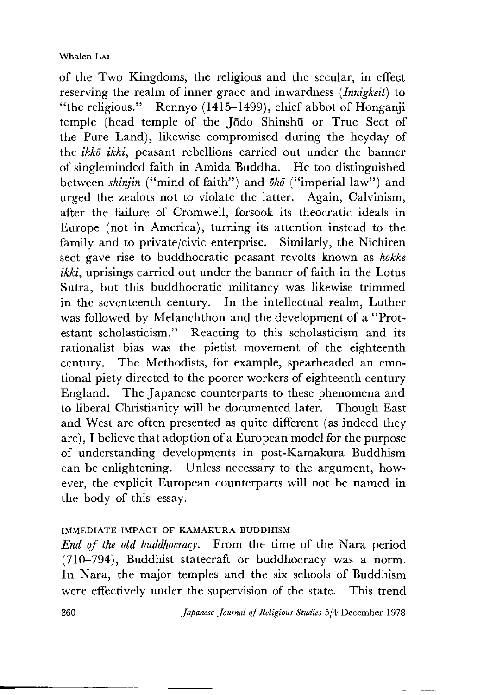of the Two Kingdoms, the religious and the secular, in effect reserving the realm of inner grace and inwardness *(Innigkeit)* to "the religious." Rennyo (1415-1499), chief abbot of Honganji temple (head temple of the Jodo Shinshu or True Sect of the Pure Land), likewise compromised during the heyday of the *ikko ikki*, peasant rebellions carried out under the banner of singleminded faith in Amida Buddha. He too distinguished between *shinjin* ("mind of faith") and  $\bar{a}h\bar{\sigma}$  ("imperial law") and urged the zealots not to violate the latter. Again, Calvinism, after the failure of Cromwell, forsook its theocratic ideals in Europe (not in America), turning its attention instead to the family and to private/civic enterprise. Similarly, the Nichiren sect gave rise to buddhocratic peasant revolts known as *hokke*  $ikki$ , uprisings carried out under the banner of faith in the Lotus Sutra, but this buddhocratic militancy was likewise trimmed in the seventeenth century. In the intellectual realm, Luther was followed by Melanchthon and the development of a "Protestant scholasticism." Reacting to this scholasticism and its rationalist bias was the pietist movement of the eighteenth century. The Methodists, for example, spearheaded an emotional piety directed to the poorer workers of eighteenth century England. The Japanese counterparts to these phenomena and to liberal Christianity will be documented later. Though East and West are often presented as quite different (as indeed they are), I believe that adoption of a European model for the purpose of understanding developments in post-Kamakura Buddhism can be enlightening. Unless necessary to the argument, however, the explicit European counterparts will not be named in the body of this essay.

# IMMEDIATE IMPACT OF KAMAKURA BUDDHISM

*End of the old buddhocracy.* From the time of the Nara period (710-794), Buddhist statecraft or buddhocracy was a norm. In Nara, the major temples and the six schools of Buddhism were effectively under the supervision of the state. This trend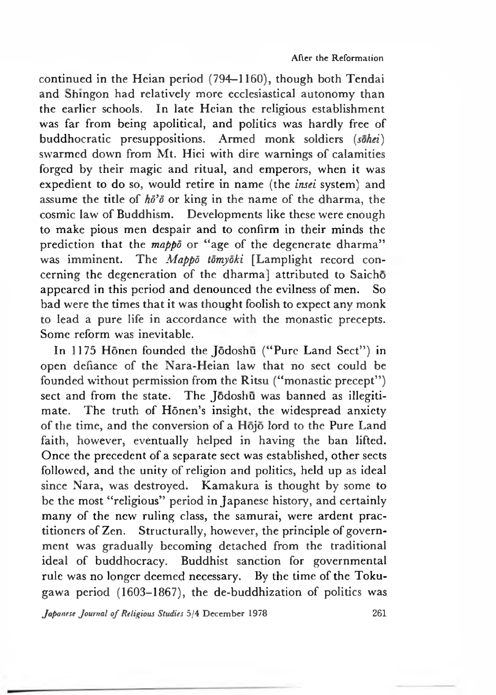continued in the Hcian period (794—1160), though both Tendai and Shingon had relatively more ecclesiastical autonomy than the earlier schools. In late Heian the religious establishment was far from being apolitical, and politics was hardly free of buddhocratic presuppositions. Armed monk soldiers *(sohei)* swarmed down from Mt. Hici with dire warnings of calamities forged by their magic and ritual, and emperors, when it was expedient to do so, would retire in name (the *insei* system) and assume the title of  $h\ddot{\theta}$  or king in the name of the dharma, the cosmic law of Buddhism. Developments like these were enough to make pious men despair and to confirm in their minds the prediction that the *mappo* or "age of the degenerate dharma" was imminent. The *Mappd tomyoki* [Lamplight record concerning the degeneration of the dharma] attributed to Saicho appeared in this period and denounced the evilness of men. So bad were the times that it was thought foolish to expect any monk to lead a pure life in accordance with the monastic precepts. Some reform was inevitable.

In 1175 Honen founded the Jodoshu ("Pure Land Sect") in open defiance of the Nara-Heian law that no sect could be founded without permission from the Ritsu ("monastic precept") sect and from the state. The Jodoshu was banned as illegitimate. The truth of Hōnen's insight, the widespread anxiety of the time, and the conversion of a Hojo lord to the Pure Land faith, however, eventually helped in having the ban lifted. Once the precedent of a separate sect was established, other sects followed, and the unity of religion and politics, held up as ideal since Nara, was destroyed. Kamakura is thought by some to be the most "religious" period in Japanese history, and certainly many of the new ruling class, the samurai, were ardent practitioners of Zen. Structurally, however, the principle of government was gradually becoming detached from the traditional ideal of buddhocracy. Buddhist sanction for governmental rule was no longer deemed necessary. By the time of the Tokugawa period (1603-1867), the de-buddhization of politics was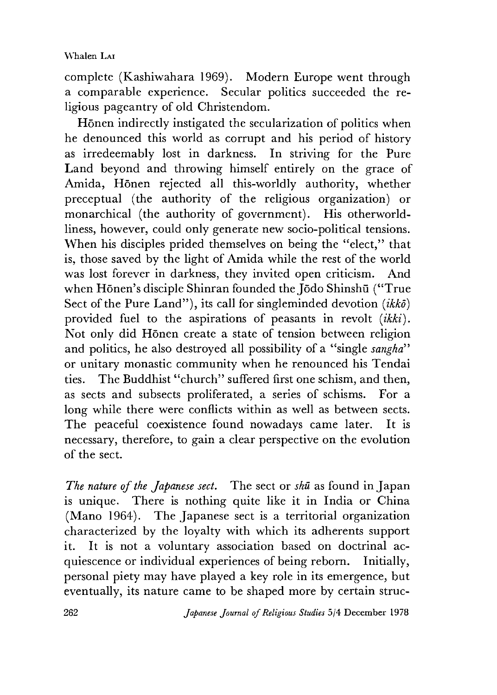complete (Kashiwahara 1969). Modern Europe went through a comparable experience. Secular politics succeeded the religious pageantry of old Christendom.

Honen indirectly instigated the secularization of politics when he denounced this world as corrupt and his period of history as irredeemably lost in darkness. In striving for the Pure Land beyond and throwing himself entirely on the grace of Amida. Honen rejected all this-worldly authority, whether preceptual (the authority of the religious organization) or monarchical (the authority of government). His otherworldliness, however, could only generate new socio-political tensions. When his disciples prided themselves on being the "elect." that is, those saved by the light of Amida while the rest of the world was lost forever in darkness, they invited open criticism. And when Hōnen's disciple Shinran founded the Jōdo Shinshū ("True Sect of the Pure Land"), its call for singleminded devotion *(ikko)* provided fuel to the aspirations of peasants in revolt *{ikki).* Not only did Hōnen create a state of tension between religion and politics, he also destroyed all possibility of a "single *sangha*" or unitary monastic community when he renounced his Tendai ties. The Buddhist "church" suffered first one schism, and then, as sects and subsects proliferated, a series of schisms. For a long while there were conflicts within as well as between sects. The peaceful coexistence found nowadays came later. It is necessary, therefore, to gain a clear perspective on the evolution of the sect.

*The nature of the Japanese sect.* The sect or *shu* as found in Japan is unique. There is nothing quite like it in India or China (Mano 1964). The Japanese sect is a territorial organization characterized by the loyalty with which its adherents support it. It is not a voluntary association based on doctrinal acquiescence or individual experiences of being reborn. Initially, personal piety may have played a key role in its emergence, but eventually, its nature came to be shaped more by certain struc-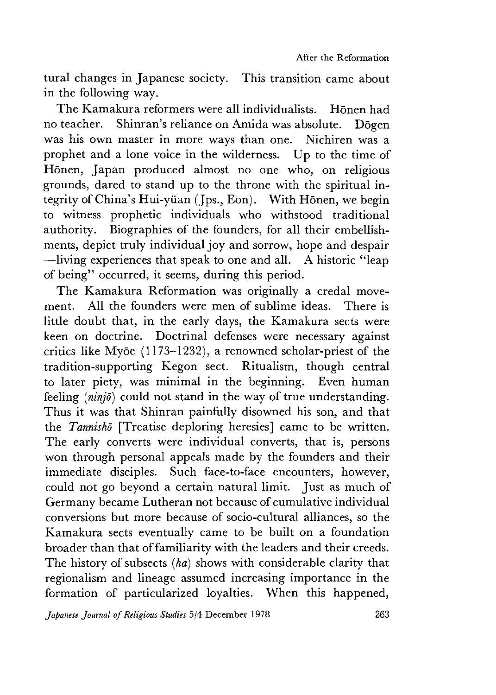tural changes in Japanese society. This transition came about in the following way.

The Kamakura reformers were all individualists. Honen had no teacher. Shinran's reliance on Amida was absolute. Dogen was his own master in more ways than one. Nichiren was a prophet and a lone voice in the wilderness. Up to the time of Honen, Japan produced almost no one who, on religious grounds, dared to stand up to the throne with the spiritual integrity of China's Hui-yüan (Jps., Eon). With Honen, we begin to witness prophetic individuals who withstood traditional authority. Biographies of the founders, for all their embellishments, depict truly individual joy and sorrow, hope and despair —living experiences that speak to one and all.  $\overline{A}$  historic "leap" of being" occurred, it seems, during this period.

The Kamakura Reformation was originally a credal movement. All the founders were men of sublime ideas. There is little doubt that, in the early days, the Kamakura sects were keen on doctrine. Doctrinal defenses were necessary against critics like Myōe  $(1173-1232)$ , a renowned scholar-priest of the tradition-supporting Kegon sect. Ritualism, though central to later piety, was minimal in the beginning. Even human feeling *(ninjd)* could not stand in the way of true understanding. Thus it was that Shinran painfully disowned his son, and that the *Tannisho* [Treatise deploring heresies] came to be written. The early converts were individual converts, that is, persons won through personal appeals made by the founders and their immediate disciples. Such face-to-face encounters, however, could not go beyond a certain natural limit. Just as much of Germany became Lutheran not because of cumulative individual conversions but more because of socio-cultural alliances, so the Kamakura sects eventually came to be built on a foundation broader than that of familiarity with the leaders and their creeds. The history of subsects *{ha)* shows with considerable clarity that regionalism and lineage assumed increasing importance in the formation of particularized loyalties. When this happened,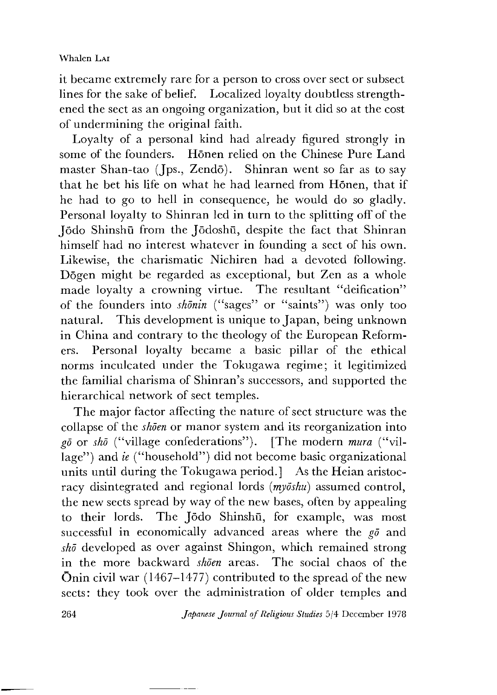it became extremely rare for a person to cross over sect or subsect lines for the sake of belief. Localized loyalty doubtless strengthened the sect as an ongoing organization, but it did so at the cost of undermining the original faith.

Loyalty of a personal kind had already figured strongly in some of the founders. Honen relied on the Chinese Pure Land master Shan-tao (Jps., Zendō). Shinran went so far as to say that he bet his life on what he had learned from Honen, that if he had to go to hell in consequence, he would do so gladly. Personal loyalty to Shinran led in turn to the splitting off of the Jodo Shinshu from the Jodoshu, despite the fact that Shinran himself had no interest whatever in founding a sect of his own. Likewise, the charismatic Nichiren had a devoted following. Dogen might be regarded as exceptional, but Zen as a whole made loyalty a crowning virtue. The resultant "deification" of the founders into *skonin* ("sages" or "saints") was only too natural. This development is unique to Japan, being unknown in China and contrary to the theology of the European Reformers. Personal loyalty became a basic pillar of the ethical norms inculcated under the Tokugawa regime; it legitimized the familial charisma of Shinran's successors, and supported the hierarchical network of sect temples.

The major factor affecting the nature of sect structure was the collapse of the *shoen* or manor system and its reorganization into *g*<sup> $\bar{g}$ </sup> or *sh*<sup> $\bar{g}$ </sup> ("village confederations"). [The modern *mura* ("village") and *ie* ("household") did not become basic organizational units until during the Tokugawa period.] As the Heian aristocracy disintegrated and regional lords *(myoshu)* assumed control, the new sects spread by way of the new bases, often by appealing to their lords. The Jodo Shinshu, for example, was most successful in economically advanced areas where the *go* and *shd* developed as over against Shiugon, which remained strong in the more backward *shoen* areas. The social chaos of the Onin civil war (1467—1477) contributed to the spread of the new sects: they took over the administration of older temples and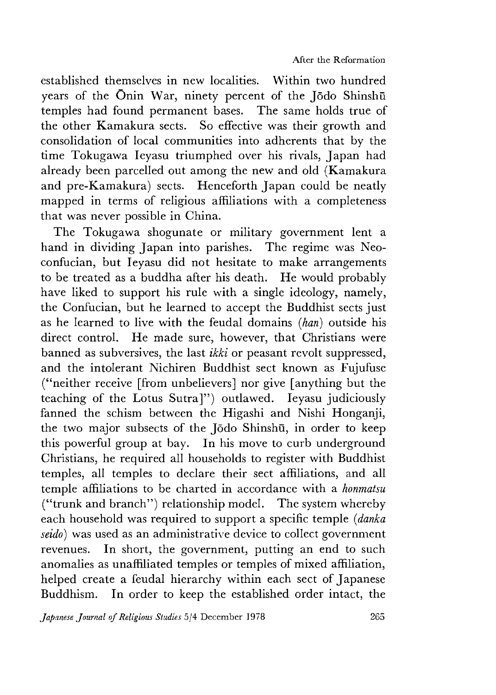established themselves in new localities. Within two hundred years of the Onin War, ninety percent of the Jodo Shinshu temples had found permanent bases. The same holds true of the other Kamakura sects. So effective was their growth and consolidation of local communities into adherents that by the time Tokugawa Ieyasu triumphed over his rivals, Japan had already been parcelled out among the new and old (Kamakura and pre-Kamakura) sects. Henceforth Japan could be neatly mapped in terms of religious affiliations with a completeness that was never possible in China.

The Tokugawa shogunate or military government lent a hand in dividing Japan into parishes. The regime was Neoconfucian, but Ieyasu did not hesitate to make arrangements to be treated as a buddha after his death. He would probably have liked to support his rule with a single ideology, namely, the Confucian, but he learned to accept the Buddhist sects just as he learned to live with the feudal domains *(han)* outside his direct control. He made sure, however, that Christians were banned as subversives, the last *ikki* or peasant revolt suppressed, and the intolerant Nichiren Buddhist sect known as Fujufuse ("neither receive [from unbelievers] nor give [anything but the teaching of the Lotus Sutra]") outlawed. Ieyasu judiciously fanned the schism between the Higashi and Nishi Honganii, the two major subsects of the Jodo Shinshu, in order to keep this powerful group at bay. In his move to curb underground Christians, he required all households to register with Buddhist temples, all temples to declare their sect affiliations, and all temple affiliations to be charted in accordance with a *honmatsu* ("trunk and branch") relationship model. The system whereby each household was required to support a specific temple *{danka seido)* was used as an administrative device to collect government revenues. In short, the government, putting an end to such anomalies as unaffiliated temples or temples of mixed affiliation, helped create a feudal hierarchy within each sect of Japanese Buddhism. In order to keep the established order intact, the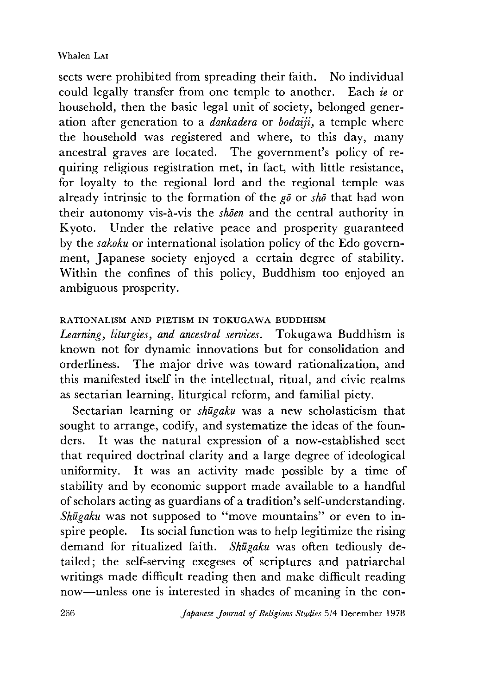### Whalen Lat

sects were prohibited from spreading their faith. No individual could legally transfer from one temple to another. Each *ie* or household, then the basic legal unit of society, belonged generation after generation to a *dankadera* or *bodaiii*, a temple where the household was registered and where, to this day, many ancestral graves are located. The government's policy of requiring religious registration met, in fact, with little resistance, for loyalty to the regional lord and the regional temple was already intrinsic to the formation of the *go* or *shd* that had won their autonomy vis-a-vis the *shoen* and the central authority in Kyoto. Under the relative peace and prosperity guaranteed by the *sakoku* or international isolation policy of the Edo government, Japanese society enjoyed a certain degree of stability. Within the confines of this policy, Buddhism too enjoyed an ambiguous prosperity.

## RATIONALISM AND PIETISM IN TOKUGAWA BUDDHISM

Learning, liturgies, and ancestral services. Tokugawa Buddhism is known not for dynamic innovations but for consolidation and orderliness. The major drive was toward rationalization, and this manifested itself in the intellectual, ritual, and civic realms as sectarian learning, liturgical reform, and familial piety.

Sectarian learning or *shugaku* was a new scholasticism that sought to arrange, codify, and systematize the ideas of the founders. It was the natural expression of a now-established sect that required doctrinal clarity and a large degree of ideological uniformity. It was an activity made possible by a time of stability and by economic support made available to a handful of scholars acting as guardians of a tradition's self-understanding. *Shugaku* was not supposed to "move mountains" or even to inspire people. Its social function was to help legitimize the rising demand for ritualized faith. *Shugaku* was often tediously detailed; the self-serving exegeses of scriptures and patriarchal writings made difficult reading then and make difficult reading now— unless one is interested in shades of meaning in the con-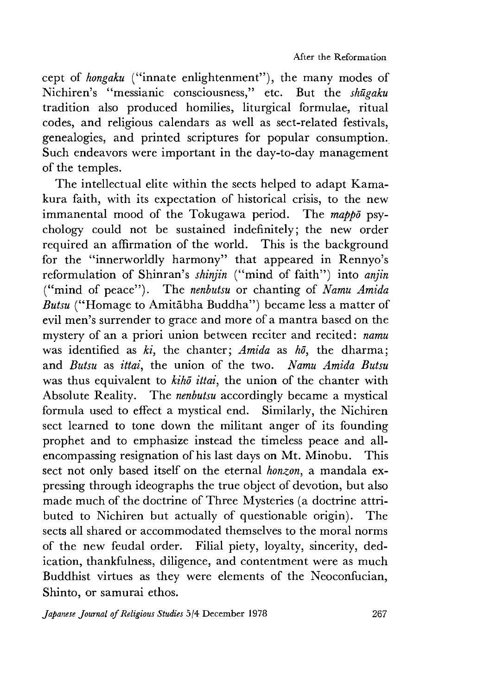cept of *hongaku* ("innate enlightenment"), the many modes of Nichiren "messianic consciousness," etc. But the *shugaku* tradition also produced homilies, liturgical formulae, ritual codes, and religious calendars as well as sect-related festivals, genealogies, and printed scriptures for popular consumption. Such endeavors were important in the day-to-day management of the temples.

The intellectual elite within the sects helped to adapt Kamakura faith, with its expectation of historical crisis, to the new immanental mood of the Tokugawa period. The *mappd* psychology could not be sustained indefinitely; the new order required an affirmation of the world. Ihis is the background for the "innerworldly harmony" that appeared in Rennyo's reformulation of Shinran's *shinjin* ("mind of faith") into *anjin* ("mind of peace"). The *nenbutsu* or chanting of *Namu Amida Butsu* ("Homage to Amitabha Buddha") became less a matter of evil men's surrender to grace and more of a mantra based on the mystery of an a priori union between reciter and recited: *namu* was identified as *ki*, the chanter; *Amida* as *h*<sup> $\bar{o}$ </sup>, the dharma; and *Butsu* as *ittai*, the union of the two. *Namu Amida Butsu* was thus equivalent to *kihd ittai,* the union of the chanter with Absolute Reality. The *nenbutsu* accordingly became a mystical formula used to effect a mystical end. Similarly, the Nichiren sect learned to tone down the militant anger of its founding prophet and to emphasize instead the timeless peace and allencompassing resignation of his last days on Mt. Minobu. This sect not only based itself on the eternal *honzon*, a mandala expressing through ideographs the true object of devotion, but also made much of the doctrine of Three Mysteries (a doctrine attributed to Nichiren but actually of questionable origin). The sects all shared or accommodated themselves to the moral norms of the new feudal order. Filial piety, loyalty, sincerity, dedication, thankfulness, diligence, and contentment were as much Buddhist virtues as they were elements of the Neoconfucian, Shinto, or samurai ethos.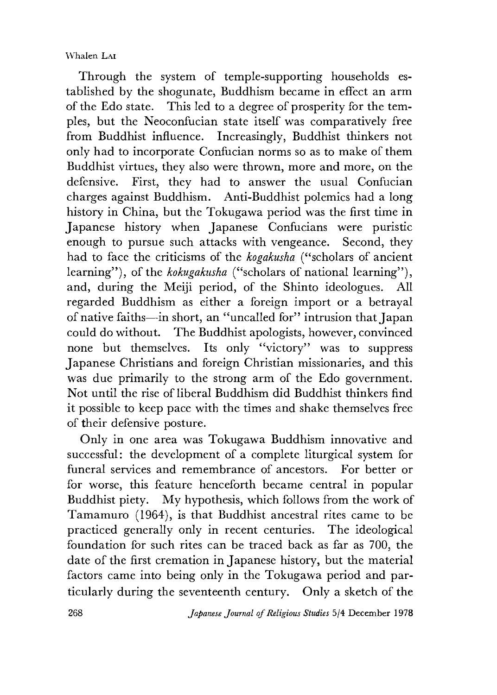Through the system of temple-supporting households established by the shogunate, Buddhism became in effect an arm of the Edo state. This led to a degree of prosperity for the temples, but the Neoconfucian state itself was comparatively free from Buddhist influence. Increasingly, Buddhist thinkers not only had to incorporate Confucian norms so as to make of them Buddhist virtues, they also were thrown, more and more, on the defensive. First, they had to answer the usual Confucian charges against Buddhism. Anti-Buddhist polemics had a long history in China, but the Tokugawa period was the first time in Japanese history when Japanese Confucians were puristic enough to pursue such attacks with vengeance. Second, they had to face the criticisms of the *kogakusha* ("scholars of ancient learning"), of the *kokugakusha* ("scholars of national learning"), and, during the Meiji period, of the Shinto ideologues. All regarded Buddhism as either a foreign import or a betrayal of native faiths—in short, an ''uncalled for" intrusion that Japan could do without. The Buddhist apologists, however, convinced none but themselves. Its only "victory" was to suppress Japanese Christians and foreign Christian missionaries, and this was due primarily to the strong arm of the Edo government. Not until the rise of liberal Buddhism did Buddhist thinkers find it possible to keep pace with the times and shake themselves free of their defensive posture.

Only in one area was Tokugawa Buddhism innovative and successful: the development of a complete liturgical system for funeral services and remembrance of ancestors. For better or for worse, this feature henceforth became central in popular Buddhist piety. My hypothesis, which follows from the work of Tamamuro (1964), is that Buddhist ancestral rites came to be practiced generally only in recent centuries. The ideological foundation for such rites can be traced back as far as 700, the date of the first cremation in Japanese history, but the material factors came into being only in the Tokugawa period and particularly during the seventeenth century. Only a sketch of the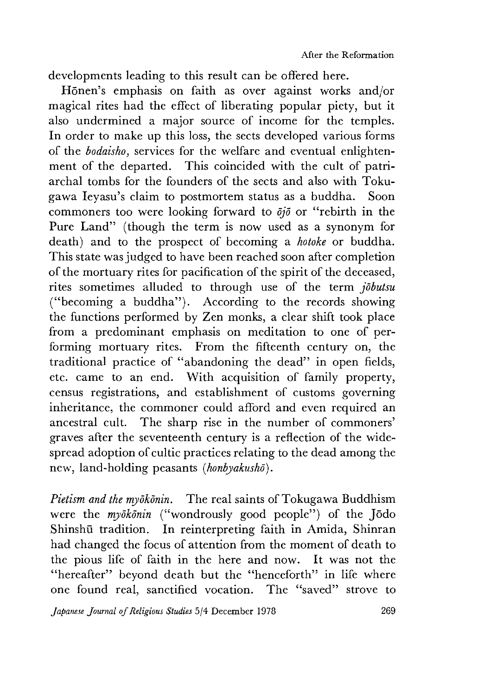developments leading to this result can be offered here.

Hōnen's emphasis on faith as over against works and/or magical rites had the effect of liberating popular piety, but it also undermined a major source of income for the temples. In order to make up this loss, the sects developed various forms of the *bodaisho,* services for the welfare and eventual enlightenment of the departed. This coincided with the cult of patriarchal tombs for the founders of the sects and also with Tokugawa Ieyasu's claim to postmortem status as a buddha. Soon commoners too were looking forward to *djo* or "rebirth in the Pure Land" (though the term is now used as a synonym for death) and to the prospect of becoming a *hotoke* or buddha. This state was judged to have been reached soon after completion of the mortuary rites for pacification of the spirit of the deceased, rites sometimes alluded to through use of the term *jobutsu* ("becoming a buddha"). According to the records showing the functions performed by Zen monks, a clear shift took place from a predominant emphasis on meditation to one of performing mortuary rites. From the fifteenth century on, the traditional practice of "abandoning the dead" in open fields, etc. came to an end. With acquisition of family property, census registrations, and establishment of customs governing inheritance, the commoner could afford and even required an ancestral cult. The sharp rise in the number of commoners' graves after the seventeenth century is a reflection of the widespread adoption of cultic practices relating to the dead among the new, land-holding peasants *(honbyakusho).*

*Pietism and the myokdnin.* The real saints of Tokugawa Buddhism were the *myōkōnin* ("wondrously good people") of the Jōdo shinshu tradition. In reinterpreting faith in Amida, Shinran had changed the focus of attention from the moment of death to the pious life of faith in the here and now. It was not the "hereafter" beyond death but the "henceforth" in life where one found real, sanctified vocation. The "saved" strove to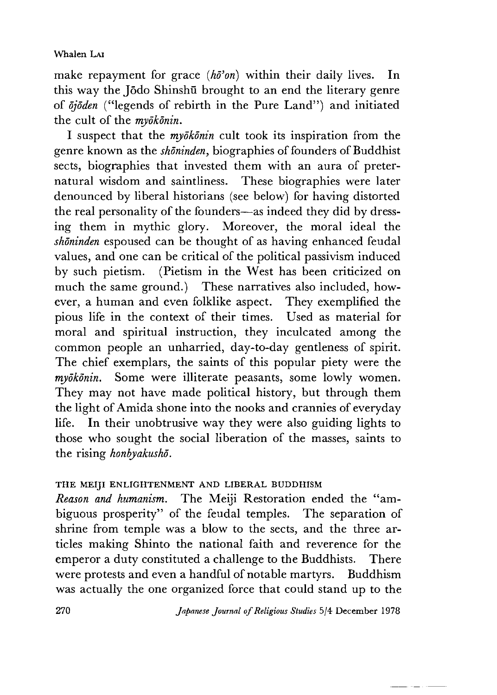make repayment for grace *{hd'on)* within their daily lives. In this way the Jodo Shinshu brought to an end the literary genre of  $\bar{o}i\bar{o}den$  ("legends of rebirth in the Pure Land") and initiated the cult of the *myokonin.*

I suspect that the *myokonin* cult took its inspiration from the genre known as the *shdninden* biographies of founders of Buddhist sects, biographies that invested them with an aura of preternatural wisdom and saintliness. These biographies were later denounced by liberal historians (see below) for having distorted the real personality of the founders— as indeed they did by dressing them in mythic glory. Moreover, the moral ideal the *shdninden* espoused can be thought of as having enhanced feudal values, and one can be critical of the political passivism induced by such pietism. (Pietism in the West has been criticized on much the same ground.) These narratives also included, however, a human and even folklike aspect. They exemplified the pious life in the context of their times. Used as material for moral and spiritual instruction, they inculcated among the common people an unharried, day-to-day gentleness of spirit. The chief exemplars, the saints of this popular piety were the *myokonin.* Some were illiterate peasants, some lowly women. They may not have made political history, but through them the light of Amida shone into the nooks and crannies of everyday life. In their unobtrusive way they were also guiding lights to those who sought the social liberation of the masses, saints to the rising *honbyakusho.*

# THE MEIJI ENLIGHTENMENT AND LIBERAL BUDDHISM

*Reason and humanism.* The Meiji Restoration ended the "ambiguous prosperity" of the feudal temples. The separation of shrine from temple was a blow to the sects, and the three articles making Shinto the national faith and reverence for the emperor a duty constituted a challenge to the Buddhists. There were protests and even a handful of notable martyrs. Buddhism was actually the one organized force that could stand up to the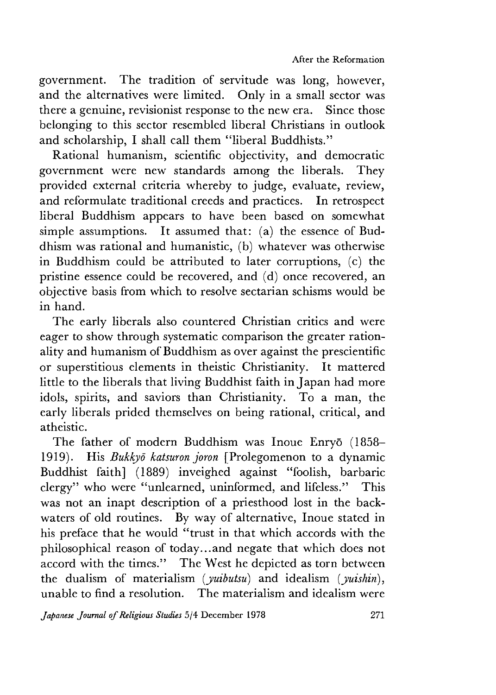government. The tradition of servitude was long, however, and the alternatives were limited. Only in a small sector was there a genuine, revisionist response to the new era. Since those belonging to this sector resembled liberal Christians in outlook and scholarship, I shall call them "liberal Buddhists."

Rational humanism, scientific objectivity, and democratic government were new standards among the liberals. They provided external criteria whereby to judge, evaluate, review, and reformulate traditional creeds and practices. In retrospect liberal Buddhism appears to have been based on somewhat simple assumptions. It assumed that: (a) the essence of Buddhism was rational and humanistic, (b) whatever was otherwise in Buddhism could be attributed to later corruptions, (c) the pristine essence could be recovered, and (d) once recovered, an objective basis from which to resolve sectarian schisms would be in hand.

The early liberals also countered Christian critics and were eager to show through systematic comparison the greater rationality and humanism of Buddhism as over against the prescientific or superstitious elements in theistic Christianity. It mattered little to the liberals that living Buddhist faith in Japan had more idols, spirits, and saviors than Christianity. To a man, the early liberals prided themselves on being rational, critical, and atheistic.

The father of modern Buddhism was Inoue Enryō (1858-1919). His *Bukkyo katsuron joron* [Prolegomenon to a dynamic Buddhist faith] (1889) inveighed against "foolish, barbaric clergy" who were "unlearned, uninformed, and lifeless." This was not an inapt description of a priesthood lost in the backwaters of old routines. By way of alternative, Inoue stated in his preface that he would "trust in that which accords with the philosophical reason of today...and negate that which does not accord with the times." The West he depicted as torn between the dualism of materialism *{yuibutsu)* and idealism *(juishin),* unable to find a resolution. The materialism and idealism were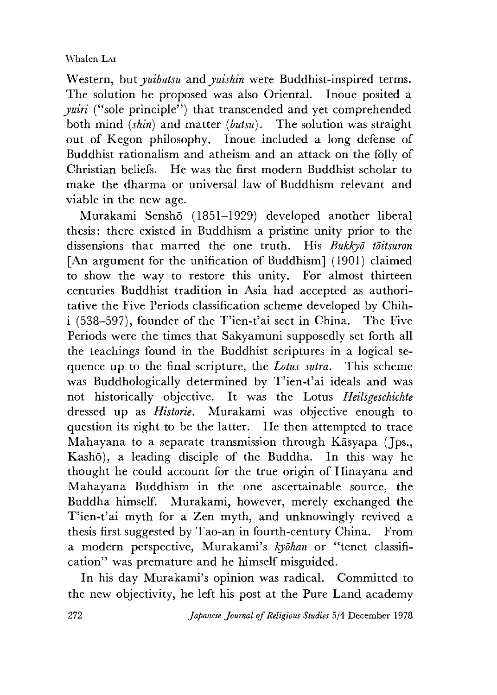### Whalen Lar

Western, but *yuibutsu* and *yuishin* were Buddhist-inspired terms. The solution he proposed was also Oriental. Inoue posited a *yuiri* ("sole principle") that transcended and yet comprehended both mind *(skin)* and matter *(butsu).* The solution was straight out of Kegon philosophy. Inoue included a long defense of Buddhist rationalism and atheism and an attack on the folly of Christian beliefs. He was the first modern Buddhist scholar to make the dharma or universal law of Buddhism relevant and viable in the new age.

Murakami Sensh5 (1851-1929) developed another liberal thesis: there existed in Buddhism a pristine unity prior to the dissensions that marred the one truth. His *Bukkyo toitsuron* [An argument for the unification of Buddhism] (1901) claimed to show the way to restore this unity. For almost thirteen centuries Buddhist tradition in Asia had accepted as authoritative the Five Periods classification scheme developed by Chih $i$  (538-597), founder of the T'ien-t'ai sect in China. The Five Periods were the times that Sakyamuni supposedly set forth all the teachings found in the Buddhist scriptures in a logical sequence up to the final scripture, the *Lotus sutra.* This scheme was Buddhologically determined by T'ien-t'ai ideals and was not historically objective. It was the Lotus *Heilsgeschichte* dressed up as *Historie.* Murakami was objective enough to question its right to be the latter. He then attempted to trace Mahayana to a separate transmission through Kasyapa (Jps., Kashō), a leading disciple of the Buddha. In this way he thought he could account for the true origin of Hinayana and Mahayana Buddhism in the one ascertainable source, the Buddha himself. Murakami, however, merely exchanged the T'ien-t'ai myth for a Zen myth, and unknowingly revived a thesis first suggested by Tao-an in fourth-century China. From a modern perspective, Murakami's *kyohan* or "tenet classification" was premature and he himself misguided.

In his day Murakami's opinion was radical. Committed to the new objectivity, he left his post at the Pure Land academy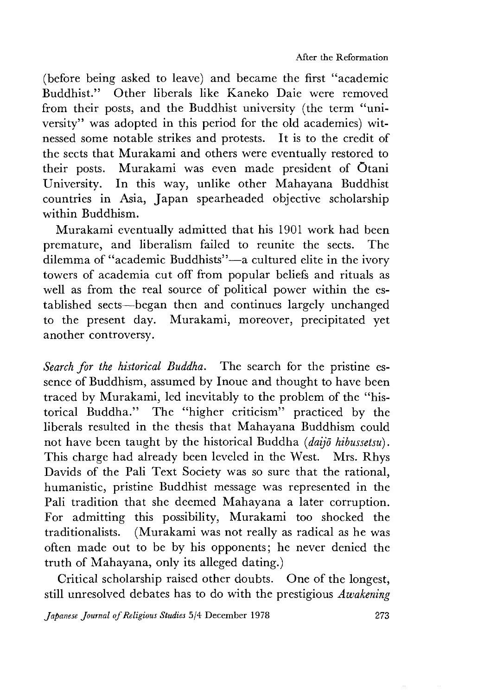(before being asked to leave) and became the first "academic Buddhist." Other liberals like Kaneko Daie were removed from their posts, and the Buddhist university (the term "university" was adopted in this period for the old academies) witnessed some notable strikes and protests. It is to the credit of the sects that Murakami and others were eventually restored to their posts. Murakami was even made president of Otani University. In this way, unlike other Mahayana Buddhist countries in Asia, Japan spearheaded objective scholarship within Buddhism.

Murakami eventually admitted that his 1901 work had been premature, and liberalism tailed to reunite the sects. The dilemma of "academic Buddhists"-a cultured elite in the ivory towers of academia cut off from popular beliefs and rituals as well as from the real source of political power within the established sects— began then and continues largely unchanged to the present day. Murakami, moreover, precipitated yet another controversy.

*Search for the historical Buddha.* The search for the pristine essence of Buddhism, assumed by Inoue and thought to have been traced by Murakami, led inevitably to the problem of the "historical Buddha." The "higher criticism" practiced by the liberals resulted in the thesis that Mahayana Buddhism could not have been taught by the historical Buddha *(daijo hibussetsu*). This charge had already been leveled in the West. Mrs. Rhys Davids of the Pali Text Society was so sure that the rational, humanistic, pristine Buddhist message was represented in the Pali tradition that she deemed Mahayana a later corruption. For admitting this possibility, Murakami too shocked the traditionalists. (Murakami was not really as radical as he was often made out to be by his opponents; he never denied the truth of Mahayana, only its alleged dating.)

Critical scholarship raised other doubts. One of the longest, still unresolved debates has to do with the prestigious *Awakening*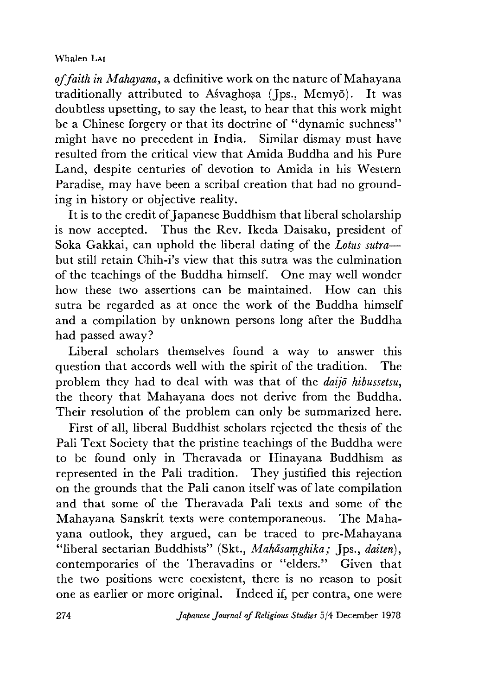of faith in Mahayana, a definitive work on the nature of Mahayana traditionally attributed to Asvaghosa (Jps., Memyo). It was doubtless upsetting, to say the least, to hear that this work might be a Chinese forgery or that its doctrine of "dynamic suchness" might have no precedent in India. Similar dismay must have resulted from the critical view that Amida Buddha and his Pure Land, despite centuries of devotion to Amida in his Western Paradise, may have been a scribal creation that had no grounding in history or objective reality.

It is to the credit of Japanese Buddhism that liberal scholarship is now accepted. Thus the Rev. Ikeda Daisaku, president of Soka Gakkai, can uphold the liberal dating of the *Lotus sutra* but still retain Chih-i's view that this sutra was the culmination of the teachings of the Buddha himself. One may well wonder how these two assertions can be maintained. How can this sutra be regarded as at once the work of the Buddha himself and a compilation by unknown persons long after the Buddha had passed away?

Liberal scholars themselves found a way to answer this question that accords well with the spirit of the tradition. The problem they had to deal with was that of the *aaijo hibussetsu,* the theory that Mahayana does not derive from the Buddha. Their resolution of the problem can only be summarized here.

First of all, liberal Buddhist scholars rejected the thesis of the Pali Text Society that the pristine teachings of the Buddha were to be found only in Theravada or Hinayana Buddhism as represented in the Pali tradition. They justified this rejection on the grounds that the Pali canon itself was of late compilation and that some of the Theravada Pali texts and some of the Mahayana Sanskrit texts were contemporaneous. The Mahayana outlook, they argued, can be traced to pre-Mahayana "liberal sectarian Buddhists" (Skt., Mahāsamghika; Jps., daiten), contemporaries of the Theravadins or "elders." Given that the two positions were coexistent, there is no reason to posit one as earlier or more original. Indeed if, per contra, one were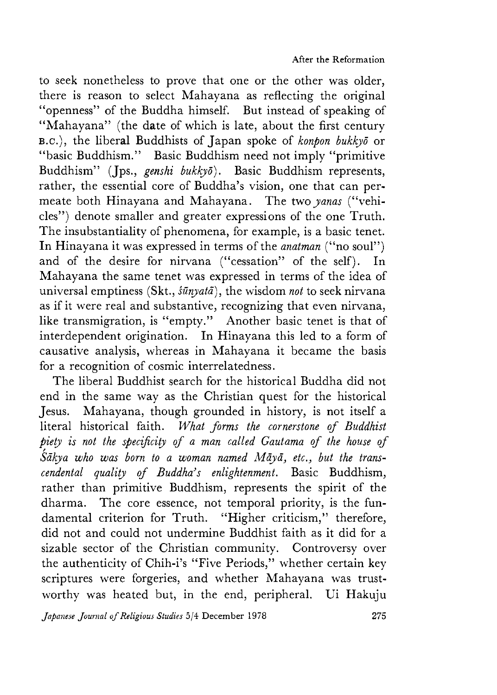to seek nonetheless to prove that one or the other was older, there is reason to select Mahayana as reflecting the original "openness" of the Buddha himself. But instead of speaking of "Mahayana" (the date of which is late, about the first century b.c.),the liberal Buddhists of Japan spoke of *konpon bukkyo* or "basic Buddhism." Basic Buddhism need not imply "primitive Buddhism" (Jps., *genshi bukkyō*). Basic Buddhism represents, rather, the essential core of Buddha's vision, one that can permeate both Hinayana and Mahayana. The two *yanas* ("vehicles") denote smaller and greater expressions of the one Truth. The insubstantiality of phenomena, for example, is a basic tenet. In Hinayana it was expressed in terms of the *anatman* ("no soul") and of the desire for nirvana ("cessation" of the self). In Mahayana the same tenet was expressed in terms of the idea of universal emptiness (Skt., *suriyatd),* the wisdom *not* to seek nirvana as if it were real and substantive, recognizing that even nirvana, like transmigration, is "empty." Another basic tenet is that of interdependent origination. In Hinayana this led to a form of causative analysis, whereas in Mahayana it became the basis for a recognition of cosmic interrelatedness.

The liberal Buddhist search for the historical Buddha did not end in the same way as the Christian quest for the historical Jesus. Mahayana, though grounded in history, is not itself a literal historical faith. *What forms the cornerstone of Buddhist piety is not the specificity of a man called Gautama of the house of Sakya who was born to a woman named Maya, etc" but the trans~ cendental quality of Buddha s enlightenment.* Basic Buddhism, rather than primitive Buddhism, represents the spirit of the dharma. The core essence, not temporal priority, is the fundamental criterion for Truth. "Higher criticism," therefore, did not and could not undermine Buddhist faith as it did for a sizable sector of the Christian community. Controversy over the authenticity of Chih-i's "Five Periods," whether certain key scriptures were forgeries, and whether Mahayana was trustworthy was heated but, in the end, peripheral. Ui Hakuju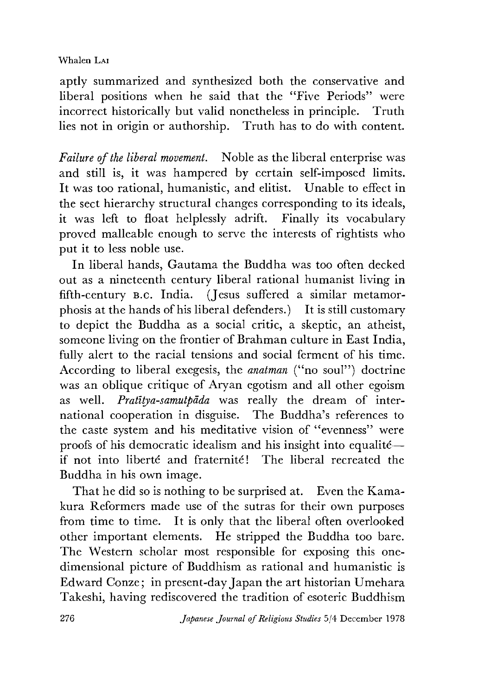aptly summarized and synthesized both the conservative and liberal positions when he said that the "Five Periods" were incorrect historically but valid nonetheless in principle. Truth lies not in origin or authorship. Truth has to do with content.

*Failure of the liberal movement.* Noble as the liberal enterprise was and still is, it was hampered by certain self-imposed limits. It was too rational, humanistic, and elitist. Unable to effect in the sect hierarchy structural changes corresponding to its ideals, it was left to float helplessly adrift. Finally its vocabulary proved malleable enough to serve the interests of rightists who put it to less noble use.

In liberal hands, Gautama the Buddha was too often decked out as a nineteenth century liberal rational humanist living in fifth-century B .C . India. (Jesus suffered a similar metamorphosis at the hands of his liberal defenders.) It is still customary to depict the Buddha as a social critic, a skeptic, an atheist, someone living on the frontier of Brahman culture in East India, fully alert to the racial tensions and social ferment of his time. According to liberal exegesis, the *anatman* ("no soul") doctrine was an oblique critique of Aryan egotism and all other egoism as well. *Pratltya-samutpada* was really the dream of international cooperation in disguise. The Buddha's references to the caste system and his meditative vision of "evenness" were proofs of his democratic idealism and his insight into equalite if not into liberté and fraternité! The liberal recreated the Buddha in his own image.

That he did so is nothing to be surprised at. Even the Kamakura Reformers made use of the sutras for their own purposes from time to time. It is only that the liberal often overlooked other important elements. He stripped the Buddha too bare. The Western scholar most responsible for exposing this onedimensional picture of Buddhism as rational and humanistic is Edward Conze; in present-day Japan the art historian Umehara Takeshi, having rediscovered the tradition of esoteric Buddhism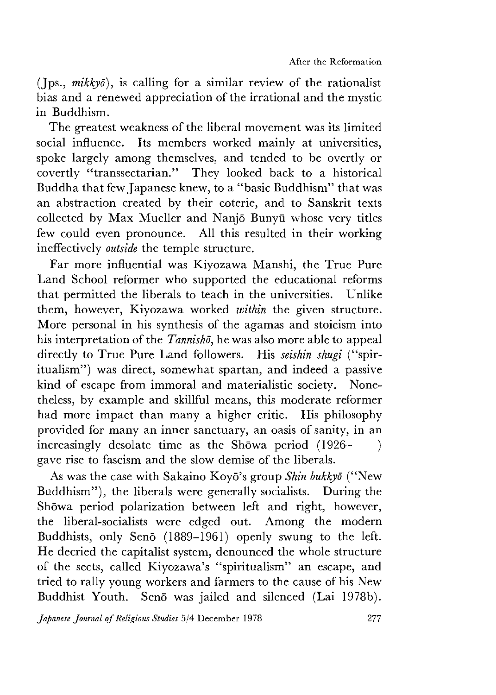(Jps., *mikkyd),* is calling for a similar review of the rationalist bias and a renewed appreciation of the irrational and the mystic in Buddhism.

The greatest weakness of the liberal movement was its limited social influence. Its members worked mainly at universities, spoke largely among themselves, and tended to be overtly or covertly "transsectarian." They looked back to a historical Buddha that few Japanese knew, to a "basic Buddhism" that was an abstraction created by their coterie, and to Sanskrit texts collected by Max Mueller and Nanjo Bunyu whose very titles few could even pronounce. All this resulted in their working ineffectively *outside* the temple structure.

Far more influential was Kiyozawa Manshi, the True Pure Land School reformer who supported the educational reforms that permitted the liberals to teach in the universities. Unlike them, however, Kiyozawa worked *within* the eiven structure. More personal in his synthesis of the agamas and stoicism into his interpretation of the *Tannisho*, he was also more able to appeal directly to True Pure Land followers. His *seishin shugi* ("spiritualism") was direct, somewhat spartan, and indeed a passive kind of escape from immoral and materialistic society. Nonetheless, by example and skillful means, this moderate reformer had more impact than many a higher critic. His philosophy provided for many an inner sanctuary, an oasis of sanity, in an increasingly desolate time as the Showa period  $(1926 - )$ gave rise to fascism and the slow demise of the liberals.

As was the case with Sakaino Koyō's group *Shin bukkyō* ("New Buddhism"), the liberals were generally socialists. During the Showa period polarization between left and right, however, the liberal-socialists were edged out. Among the modern Buddhists, only Senō (1889-1961) openly swung to the left. He decried the capitalist system, denounced the whole structure of the sects, called Kiyozawa's "spiritualism" an escape, and tried to rally young workers and farmers to the cause of his New Buddhist Youth. Seno was jailed and silenced (Lai 1978b).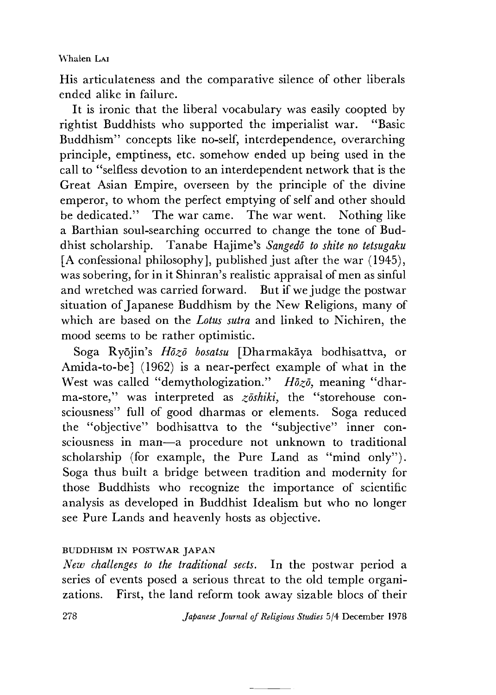His articulateness and the comparative silence of other liberals ended alike in failure.

It is ironic that the liberal vocabulary was easily coopted by rightist Buddhists who supported the imperialist war. "Basic Buddhism" concepts like no-self, interdependence, overarching principle, emptiness, etc. somehow ended up being used in the call to "selfless devotion to an interdependent network that is the Great Asian Empire, overseen by the principle of the divine emperor, to whom the perfect emptying of self and other should be dedicated." The war came. The war went. Nothing like a Barthian soul-searching occurred to change the tone of Buddhist scholarship. Tanabe Hajime^s *Sangedo to shite no tetsugaku* [A confessional philosophy], published just after the war (1945), was sobering, for in it Shinran's realistic appraisal of men as sinful and wretched was carried forward. But if we judge the postwar situation of Japanese Buddhism by the New Religions, many of which are based on the *Lotus sutra* and linked to Nichiren, the mood seems to be rather optimistic.

Soga Ryōjin's *Hōzō bosatsu* [Dharmakāya bodhisattva, or Amida-to-be] (1962) is a near-perfect example of what in the West was called "demythologization." *Hozo,* meaning "dharma-store," was interpreted as *zoshiki,* the "storehouse consciousness" full of good dharmas or elements. Soga reduced the "objective" bodhisattva to the "subjective" inner consciousness in man—a procedure not unknown to traditional scholarship (for example, the Pure Land as "mind only"). Soga thus built a bridge between tradition and modernity for those Buddhists who recognize the importance of scientific analysis as developed in Buddhist Idealism but who no longer see Pure Lands and heavenly hosts as objective.

### BUDDHISM IN POSTWAR JAPAN

*New challenges to the traditional sects.* In the postwar period a series of events posed a serious threat to the old temple organizations. First, the land reform took away sizable blocs of their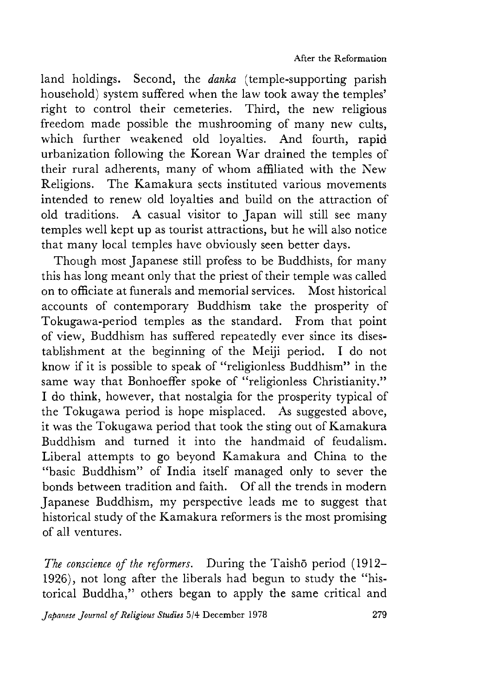land holdings. Second, the *danka* (temple-supporting parish household) system suffered when the law took away the temples' right to control their cemeteries. Third, the new religious freedom made possible the mushrooming of many new cults, which further weakened old loyalties. And fourth, rapid urbanization following the Korean War drained the temples of their rural adherents, many of whom affiliated with the New Religions. The Kamakura sects instituted various movements intended to renew old loyalties and build on the attraction of old traditions. A casual visitor to Japan will still see many temples well kept up as tourist attractions, but he will also notice that many local temples have obviously seen better days.

Though most Japanese still profess to be Buddhists, for many this has long meant only that the priest of their temple was called on to officiate at funerals and memorial services. Most historical accounts of contemporary Buddhism take the prosperity of Tokugawa-period temples as the standard. From that point of view, Buddhism has suffered repeatedly ever since its disestablishment at the beginning of the Meiji period. I do not know if it is possible to speak of "religionless Buddhism" in the same way that Bonhoeffer spoke of "religionless Christianity." I do think, however, that nostalgia for the prosperity typical of the Tokugawa period is hope misplaced. As suggested above, it was the Tokugawa period that took the sting out of Kamakura Buddhism and turned it into the handmaid of feudalism. Liberal attempts to go beyond Kamakura and China to the "basic Buddhism" of India itself managed only to sever the bonds between tradition and faith. Of all the trends in modern Japanese Buddhism, my perspective leads me to suggest that historical study of the Kamakura reformers is the most promising of all ventures.

*The conscience of the reformers.* During the Taishō period (1912-1926), not long after the liberals had begun to study the "historical Buddha," others began to apply the same critical and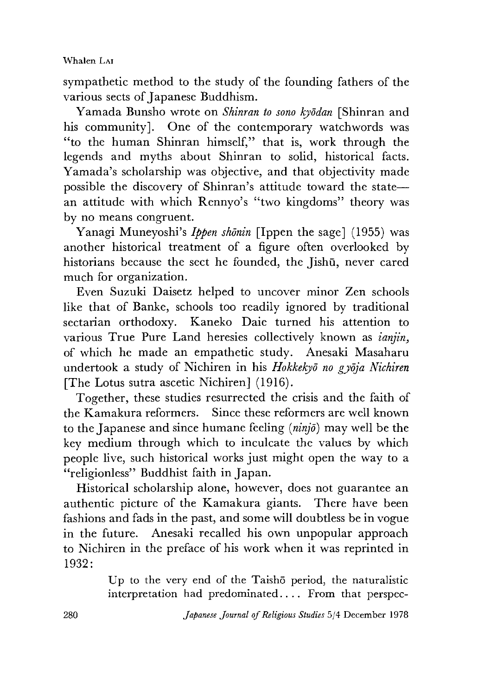sympathetic method to the study of the founding fathers of the various sects of Japanese Buddhism.

Yamada Bunsho wrote on *Shinran to sono kyddan* [Shinran and his community]. One of the contemporary watchwords was "to the human Shinran himself," that is, work through the legends and myths about Shinran to solid, historical facts. Yamada's scholarship was objective, and that objectivity made possible the discovery of Shinran's attitude toward the state an attitude with which Rennyo's "two kingdoms" theory was by no means congruent.

Yanagi Muneyoshi's *Ippen shōnin* [Ippen the sage] (1955) was another historical treatment of a figure often overlooked by historians because the sect he founded, the Jishū, never cared much for organization.

Even Suzuki Daisetz helped to uncover minor Zen schools like that of Banke, schools too readily ignored by traditional sectarian orthodoxy. Kaneko Daie turned his attention to various True Pure Land heresies collectively known as *ianjin* of which he made an empathetic study. Anesaki Masaharu undertook a study of Nichiren in his *Hokkekyd no gydja Nichiren* [The Lotus sutra ascetic Nichiren] (1916).

Together, these studies resurrected the crisis and the faith of the Kamakura reformers. Since these reformers are well known to the Japanese and since humane feeling *{ninjd)* may well be the key medium through which to inculcate the values by which people live, such historical works just might open the way to a "religionless" Buddhist faith in Japan.

Historical scholarship alone, however, does not guarantee an authentic picture of the Kamakura giants. There have been fashions and fads in the past, and some will doubtless be in vogue in the future. Anesaki recalled his own unpopular approach to Nichiren in the preface of his work when it was reprinted in 1932:

> Up to the very end of the Taisho period, the naturalistic interpretation had predominated.... From that perspec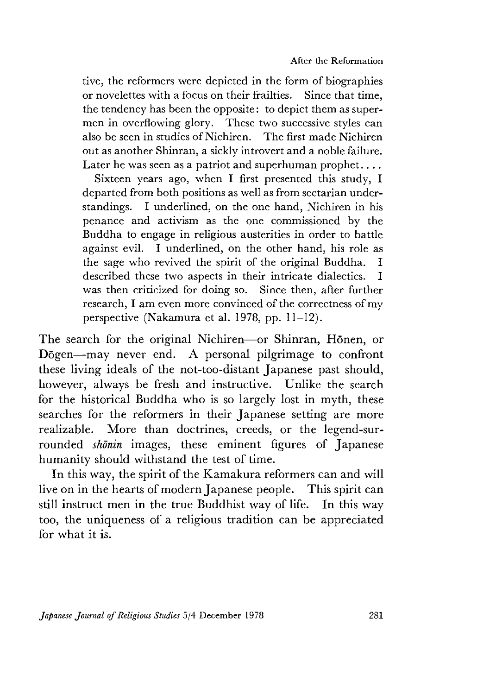tive, the reformers were depicted in the form of biographies or novelettes with a focus on their frailties. Since that time, the tendency has been the opposite: to depict them as supermen in overflowing glory. These two successive styles can also be seen in studies of Nichiren. The first made Nichiren out as another Shinran, a sickly introvert and a noble failure. Later he was seen as a patriot and superhuman prophet....

Sixteen years ago, when I first presented this study, I departed from both positions as well as from sectarian understandings. I underlined, on the one hand, Nichiren in his penance and activism as the one commissioned by the Buddha to engage in religious austerities in order to battle against evil.I underlined, on the other hand, his role as the sage who revived the spirit of the original Buddha. I described these two aspects in their intricate dialectics. I was then criticized for doing so. Since then, after further research, I am even more convinced of the correctness of my perspective (Nakamura et al. 1978, pp.  $11-12$ ).

The search for the original Nichiren—or Shinran, Hōnen, or Dogen—may never end. A personal pilgrimage to confront these living ideals of the not-too-distant Japanese past should, however, always be fresh and instructive. Unlike the search for the historical Buddha who is so largely lost in myth, these searches for the reformers in their Japanese setting are more realizable. More than doctrines, creeds, or the legend-surrounded *shonin* images, these eminent figures of Japanese humanity should withstand the test of time.

In this way, the spirit of the Kamakura reformers can and will live on in the hearts of modern Japanese people. This spirit can still instruct men in the true Buddhist way of life. In this way too, the uniqueness of a religious tradition can be appreciated for what it is.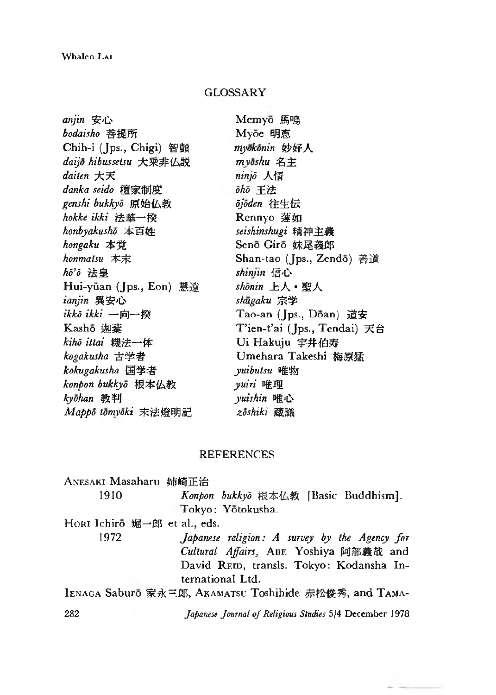# **GLOSSARY**

| anjin 安心                | Memyō 馬鳴                     |
|-------------------------|------------------------------|
| bodaisho 菩提所            | Myōe 明恵                      |
| Chih-i (Jps., Chigi) 智顗 | myokonin 妙好人                 |
| daijo hibussetsu 大乗非仏説  | $m$ võshu 名主                 |
| daiten 大天               | ninjō 人情                     |
| danka seido 檀家制度        | ōhō 王法                       |
| genshi bukkyō 原始仏教      | öjöden 往生伝                   |
| hokke ikki 法華一揆         | Rennyo 蓮如                    |
| honbyakushō 本百姓         | seishinshugi 精神主義            |
| hongaku 本覚              | Senō Girō 妹尾義郎               |
| honmatsu 本末             | Shan-tao (Jps., Zendō) 善道    |
| hō'ō 法皇                 | shinjin 信心                   |
| Hui-yūan (Jps., Eon) 慧遠 | shōnin 上人·聖人                 |
| ianjin 異安心              | shūgaku 宗学                   |
| ikkō ikki 一向一揆          | Tao-an (Jps., Dōan) 道安       |
| Kashō 迦葉                | T'ien-t'ai (Jps., Tendai) 天台 |
| kihō ittai 機法一体         | Ui Hakuju 字井伯寿               |
| kogakusha 古学者           | Umehara Takeshi 梅原猛          |
| kokugakusha 国学者         | <i>yuibutsu</i> 唯物           |
| konpon bukkyō 根本仏教      | yuiri 唯理                     |
| kyōhan 教判               | yuishin 唯心                   |
| Mappo tomyoki 末法燈明記     | zōshiki 蔵識                   |
|                         |                              |

## REFERENCES

| ANESAKI Masaharu 姉崎正治        |                                                         |
|------------------------------|---------------------------------------------------------|
| 1910                         | Konpon bukkyō 根本仏教 [Basic Buddhism].                    |
|                              | Tokyo: Yōtokusha.                                       |
| HORI Ichiro 堀一郎 et al., eds. |                                                         |
| 1972                         | Japanese religion: A survey by the Agency for           |
|                              | Cultural Affairs, ABE Yoshiya 阿部義哉 and                  |
|                              | David REID, transls. Tokyo: Kodansha In-                |
|                              | ternational Ltd.                                        |
|                              | IENAGA Saburo 家永三郎, AKAMATSU Toshihide 赤松俊秀, and TAMA-  |
| 282                          | Japanese Journal of Religious Studies 5/4 December 1978 |

 $-1$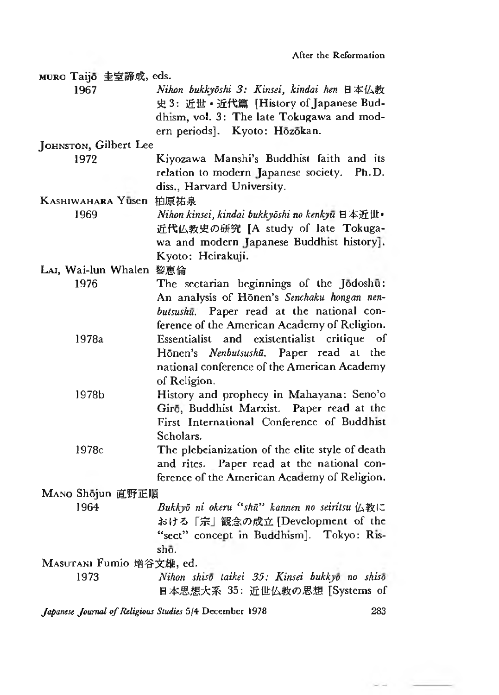| MURO Taijō 圭室諦成, eds.          |                                                                                     |
|--------------------------------|-------------------------------------------------------------------------------------|
| 1967                           | Nihon bukkyōshi 3: Kinsei, kindai hen 日本仏教                                          |
|                                | 史 3: 近世·近代篇 [History of Japanese Bud-                                               |
|                                | dhism, vol. 3: The late Tokugawa and mod-                                           |
|                                | ern periods]. Kyoto: Hōzōkan.                                                       |
| JOHNSTON, Gilbert Lee          |                                                                                     |
| 1972                           | Kiyozawa Manshi's Buddhist faith and its                                            |
|                                | relation to modern Japanese society. Ph.D.<br>diss., Harvard University.            |
|                                |                                                                                     |
| KASHIWAHARA Yusen 柏原祐泉<br>1969 |                                                                                     |
|                                | Nihon kinsei, kindai bukkyōshi no kenkyū 日本近世·<br>近代仏教史の研究 [A study of late Tokuga- |
|                                | wa and modern Japanese Buddhist history].                                           |
|                                | Kyoto: Heirakuji.                                                                   |
| LAI, Wai-lun Whalen 黎惠倫        |                                                                                     |
| 1976                           | The sectarian beginnings of the Jodoshū:                                            |
|                                | An analysis of Honen's Senchaku hongan nen-                                         |
|                                | butsushū. Paper read at the national con-                                           |
|                                | ference of the American Academy of Religion.                                        |
| 1978a                          | existentialist critique<br>Essentialist and<br>οf                                   |
|                                | Hōnen's Nenbutsushū. Paper read at the                                              |
|                                | national conference of the American Academy                                         |
|                                | of Religion.                                                                        |
| 1978b                          | History and prophecy in Mahayana: Seno'o                                            |
|                                | Girō, Buddhist Marxist. Paper read at the                                           |
|                                | First International Conference of Buddhist                                          |
|                                | Scholars.                                                                           |
| 1978c                          | The plebeianization of the elite style of death                                     |
|                                | and rites. Paper read at the national con-                                          |
|                                | ference of the American Academy of Religion.                                        |
| MANO Shōjun 直野正順               |                                                                                     |
| 1964                           | Bukkyō ni okeru "shū" kannen no seiritsu 仏教に                                        |
|                                | おける「宗」観念の成立 [Development of the                                                     |
|                                | "sect" concept in Buddhism]. Tokyo: Ris-                                            |
|                                | shō.                                                                                |
| MASUTANI Fumio 增谷文雄, ed.       |                                                                                     |
| 1973                           | Nihon shisō taikei 35: Kinsei bukkyō no shisō                                       |
|                                | 日本思想大系 35: 近世仏教の思想 [Systems of                                                      |

*Japanese Journal of Religious Studies* 5/4 December 1978 283

 $\sim -1$ 

- 2